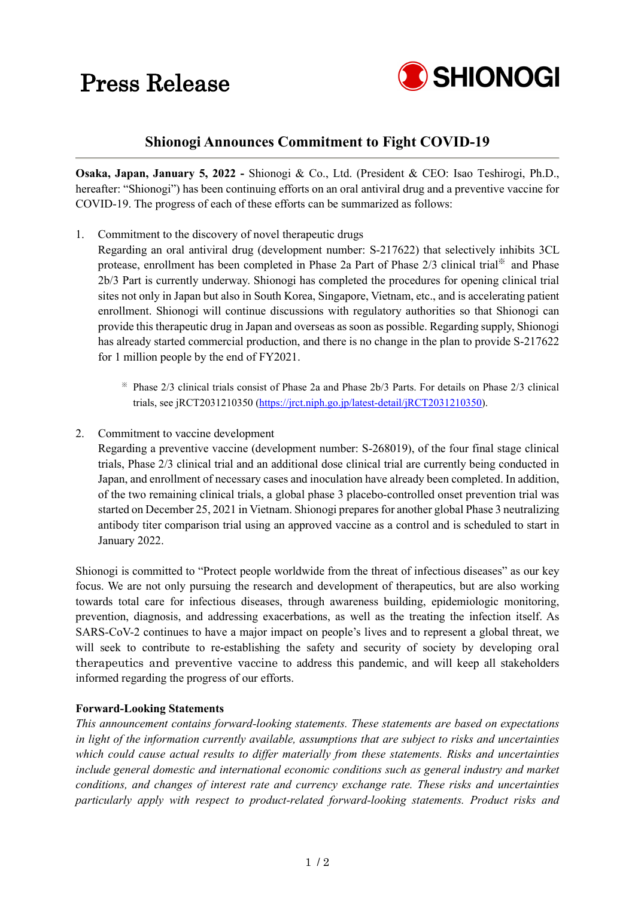## Press Release



### **Shionogi Announces Commitment to Fight COVID-19**

**Osaka, Japan, January 5, 2022 -** Shionogi & Co., Ltd. (President & CEO: Isao Teshirogi, Ph.D., hereafter: "Shionogi") has been continuing efforts on an oral antiviral drug and a preventive vaccine for COVID-19. The progress of each of these efforts can be summarized as follows:

- 1. Commitment to the discovery of novel therapeutic drugs
- Regarding an oral antiviral drug (development number: S-217622) that selectively inhibits 3CL protease, enrollment has been completed in Phase 2a Part of Phase 2/3 clinical trial<sup>※</sup> and Phase 2b/3 Part is currently underway. Shionogi has completed the procedures for opening clinical trial sites not only in Japan but also in South Korea, Singapore, Vietnam, etc., and is accelerating patient enrollment. Shionogi will continue discussions with regulatory authorities so that Shionogi can provide this therapeutic drug in Japan and overseas as soon as possible. Regarding supply, Shionogi has already started commercial production, and there is no change in the plan to provide S-217622 for 1 million people by the end of FY2021.
	- ※ Phase 2/3 clinical trials consist of Phase 2a and Phase 2b/3 Parts. For details on Phase 2/3 clinical trials, see jRCT2031210350 [\(https://jrct.niph.go.jp/latest-detail/jRCT2031210350\)](https://jrct.niph.go.jp/latest-detail/jRCT2031210350).
- 2. Commitment to vaccine development

Regarding a preventive vaccine (development number: S-268019), of the four final stage clinical trials, Phase 2/3 clinical trial and an additional dose clinical trial are currently being conducted in Japan, and enrollment of necessary cases and inoculation have already been completed. In addition, of the two remaining clinical trials, a global phase 3 placebo-controlled onset prevention trial was started on December 25, 2021 in Vietnam. Shionogi prepares for another global Phase 3 neutralizing antibody titer comparison trial using an approved vaccine as a control and is scheduled to start in January 2022.

Shionogi is committed to "Protect people worldwide from the threat of infectious diseases" as our key focus. We are not only pursuing the research and development of therapeutics, but are also working towards total care for infectious diseases, through awareness building, epidemiologic monitoring, prevention, diagnosis, and addressing exacerbations, as well as the treating the infection itself. As SARS-CoV-2 continues to have a major impact on people's lives and to represent a global threat, we will seek to contribute to re-establishing the safety and security of society by developing oral therapeutics and preventive vaccine to address this pandemic, and will keep all stakeholders informed regarding the progress of our efforts.

### **Forward-Looking Statements**

*This announcement contains forward-looking statements. These statements are based on expectations in light of the information currently available, assumptions that are subject to risks and uncertainties which could cause actual results to differ materially from these statements. Risks and uncertainties include general domestic and international economic conditions such as general industry and market conditions, and changes of interest rate and currency exchange rate. These risks and uncertainties particularly apply with respect to product-related forward-looking statements. Product risks and*